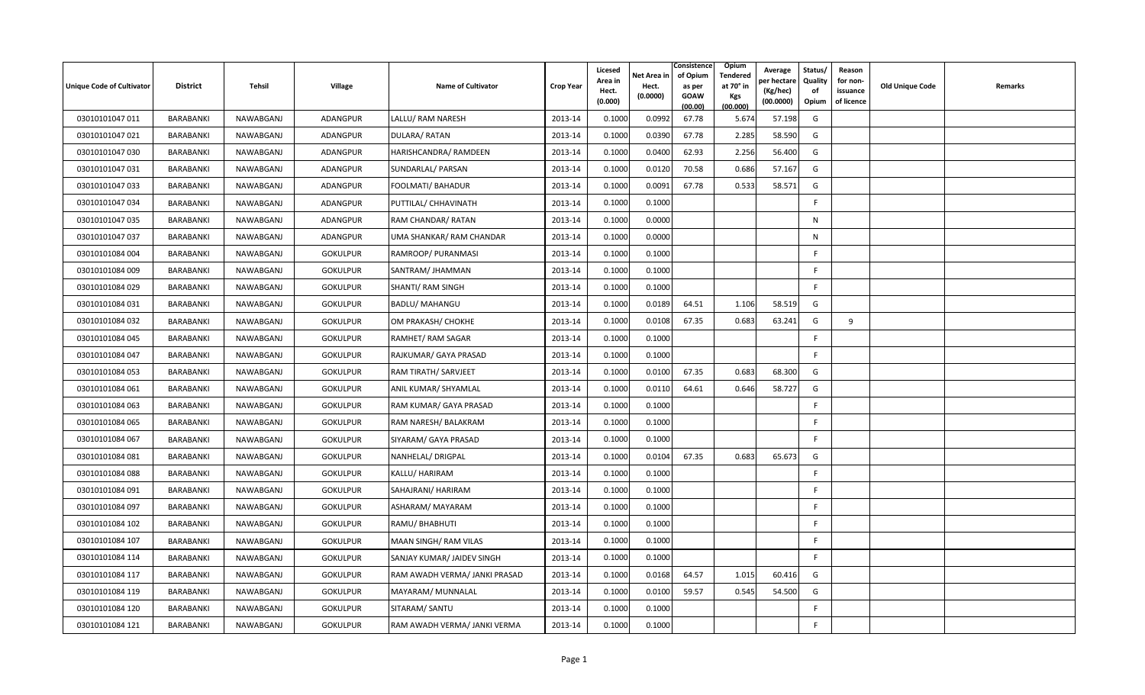| <b>Unique Code of Cultivator</b> | <b>District</b>  | Tehsil    | <b>Village</b>  | <b>Name of Cultivator</b>     | <b>Crop Year</b> | Licesed<br>Area in<br>Hect.<br>(0.000) | Net Area in<br>Hect.<br>(0.0000) | Consistence<br>of Opium<br>as per<br><b>GOAW</b><br>(00.00) | Opium<br>Tendered<br>at 70 $^{\circ}$ in<br><b>Kgs</b><br>(00.000) | Average<br>วer hectarง<br>(Kg/hec)<br>(00.0000) | Status/<br>Quality<br>of<br>Opium | Reason<br>for non-<br>issuance<br>of licence | <b>Old Unique Code</b> | Remarks |
|----------------------------------|------------------|-----------|-----------------|-------------------------------|------------------|----------------------------------------|----------------------------------|-------------------------------------------------------------|--------------------------------------------------------------------|-------------------------------------------------|-----------------------------------|----------------------------------------------|------------------------|---------|
| 03010101047 011                  | BARABANKI        | NAWABGANJ | <b>ADANGPUR</b> | LALLU/ RAM NARESH             | 2013-14          | 0.1000                                 | 0.0992                           | 67.78                                                       | 5.674                                                              | 57.198                                          | G                                 |                                              |                        |         |
| 03010101047 021                  | BARABANKI        | NAWABGANJ | <b>ADANGPUR</b> | DULARA/RATAN                  | 2013-14          | 0.1000                                 | 0.0390                           | 67.78                                                       | 2.285                                                              | 58.590                                          | G                                 |                                              |                        |         |
| 03010101047 030                  | BARABANKI        | NAWABGANJ | ADANGPUR        | HARISHCANDRA/ RAMDEEN         | 2013-14          | 0.1000                                 | 0.0400                           | 62.93                                                       | 2.256                                                              | 56.400                                          | G                                 |                                              |                        |         |
| 03010101047 031                  | BARABANKI        | NAWABGANJ | <b>ADANGPUR</b> | SUNDARLAL/ PARSAN             | 2013-14          | 0.1000                                 | 0.0120                           | 70.58                                                       | 0.686                                                              | 57.167                                          | G                                 |                                              |                        |         |
| 03010101047 033                  | BARABANKI        | NAWABGANJ | ADANGPUR        | FOOLMATI/ BAHADUR             | 2013-14          | 0.1000                                 | 0.0091                           | 67.78                                                       | 0.533                                                              | 58.571                                          | G                                 |                                              |                        |         |
| 03010101047 034                  | BARABANKI        | NAWABGANJ | <b>ADANGPUR</b> | PUTTILAL/ CHHAVINATH          | 2013-14          | 0.1000                                 | 0.1000                           |                                                             |                                                                    |                                                 | F                                 |                                              |                        |         |
| 03010101047 035                  | BARABANKI        | NAWABGANJ | ADANGPUR        | RAM CHANDAR/ RATAN            | 2013-14          | 0.1000                                 | 0.0000                           |                                                             |                                                                    |                                                 | $\mathsf{N}$                      |                                              |                        |         |
| 03010101047 037                  | BARABANKI        | NAWABGANJ | ADANGPUR        | UMA SHANKAR/ RAM CHANDAR      | 2013-14          | 0.1000                                 | 0.0000                           |                                                             |                                                                    |                                                 | $\mathsf{N}$                      |                                              |                        |         |
| 03010101084 004                  | BARABANKI        | NAWABGANJ | <b>GOKULPUR</b> | RAMROOP/ PURANMASI            | 2013-14          | 0.1000                                 | 0.1000                           |                                                             |                                                                    |                                                 | F                                 |                                              |                        |         |
| 03010101084 009                  | BARABANKI        | NAWABGANJ | <b>GOKULPUR</b> | SANTRAM/ JHAMMAN              | 2013-14          | 0.1000                                 | 0.1000                           |                                                             |                                                                    |                                                 | F.                                |                                              |                        |         |
| 03010101084 029                  | BARABANKI        | NAWABGANJ | <b>GOKULPUR</b> | SHANTI/ RAM SINGH             | 2013-14          | 0.1000                                 | 0.1000                           |                                                             |                                                                    |                                                 | F                                 |                                              |                        |         |
| 03010101084 031                  | BARABANKI        | NAWABGANJ | <b>GOKULPUR</b> | <b>BADLU/ MAHANGU</b>         | 2013-14          | 0.1000                                 | 0.0189                           | 64.51                                                       | 1.106                                                              | 58.519                                          | G                                 |                                              |                        |         |
| 03010101084 032                  | BARABANKI        | NAWABGANJ | <b>GOKULPUR</b> | OM PRAKASH/ CHOKHE            | 2013-14          | 0.1000                                 | 0.0108                           | 67.35                                                       | 0.683                                                              | 63.241                                          | G                                 | 9                                            |                        |         |
| 03010101084 045                  | BARABANKI        | NAWABGANJ | <b>GOKULPUR</b> | RAMHET/RAM SAGAR              | 2013-14          | 0.1000                                 | 0.1000                           |                                                             |                                                                    |                                                 | F                                 |                                              |                        |         |
| 03010101084 047                  | BARABANKI        | NAWABGANJ | <b>GOKULPUR</b> | RAJKUMAR/ GAYA PRASAD         | 2013-14          | 0.1000                                 | 0.1000                           |                                                             |                                                                    |                                                 | F                                 |                                              |                        |         |
| 03010101084 053                  | BARABANKI        | NAWABGANJ | <b>GOKULPUR</b> | RAM TIRATH/ SARVJEET          | 2013-14          | 0.1000                                 | 0.0100                           | 67.35                                                       | 0.683                                                              | 68.300                                          | G                                 |                                              |                        |         |
| 03010101084 061                  | <b>BARABANKI</b> | NAWABGANJ | <b>GOKULPUR</b> | ANIL KUMAR/ SHYAMLAL          | 2013-14          | 0.1000                                 | 0.0110                           | 64.61                                                       | 0.646                                                              | 58.727                                          | G                                 |                                              |                        |         |
| 03010101084 063                  | BARABANKI        | NAWABGANJ | <b>GOKULPUR</b> | RAM KUMAR/ GAYA PRASAD        | 2013-14          | 0.1000                                 | 0.1000                           |                                                             |                                                                    |                                                 | F                                 |                                              |                        |         |
| 03010101084 065                  | BARABANKI        | NAWABGANJ | <b>GOKULPUR</b> | RAM NARESH/ BALAKRAM          | 2013-14          | 0.1000                                 | 0.1000                           |                                                             |                                                                    |                                                 | F                                 |                                              |                        |         |
| 03010101084 067                  | BARABANKI        | NAWABGANJ | <b>GOKULPUR</b> | SIYARAM/ GAYA PRASAD          | 2013-14          | 0.1000                                 | 0.1000                           |                                                             |                                                                    |                                                 | F                                 |                                              |                        |         |
| 03010101084 081                  | BARABANKI        | NAWABGANJ | <b>GOKULPUR</b> | NANHELAL/ DRIGPAL             | 2013-14          | 0.1000                                 | 0.0104                           | 67.35                                                       | 0.683                                                              | 65.673                                          | G                                 |                                              |                        |         |
| 03010101084 088                  | BARABANKI        | NAWABGANJ | <b>GOKULPUR</b> | KALLU/ HARIRAM                | 2013-14          | 0.1000                                 | 0.1000                           |                                                             |                                                                    |                                                 | F.                                |                                              |                        |         |
| 03010101084 091                  | BARABANKI        | NAWABGANJ | <b>GOKULPUR</b> | SAHAJRANI/ HARIRAM            | 2013-14          | 0.1000                                 | 0.1000                           |                                                             |                                                                    |                                                 | F                                 |                                              |                        |         |
| 03010101084 097                  | BARABANKI        | NAWABGANJ | <b>GOKULPUR</b> | ASHARAM/ MAYARAM              | 2013-14          | 0.1000                                 | 0.1000                           |                                                             |                                                                    |                                                 | F.                                |                                              |                        |         |
| 03010101084 102                  | BARABANKI        | NAWABGANJ | <b>GOKULPUR</b> | RAMU/BHABHUTI                 | 2013-14          | 0.1000                                 | 0.1000                           |                                                             |                                                                    |                                                 | F                                 |                                              |                        |         |
| 03010101084 107                  | BARABANKI        | NAWABGANJ | <b>GOKULPUR</b> | MAAN SINGH/RAM VILAS          | 2013-14          | 0.1000                                 | 0.1000                           |                                                             |                                                                    |                                                 | F                                 |                                              |                        |         |
| 03010101084 114                  | <b>BARABANKI</b> | NAWABGANJ | <b>GOKULPUR</b> | SANJAY KUMAR/ JAIDEV SINGH    | 2013-14          | 0.1000                                 | 0.1000                           |                                                             |                                                                    |                                                 | F.                                |                                              |                        |         |
| 03010101084 117                  | BARABANKI        | NAWABGANJ | <b>GOKULPUR</b> | RAM AWADH VERMA/ JANKI PRASAD | 2013-14          | 0.1000                                 | 0.0168                           | 64.57                                                       | 1.015                                                              | 60.416                                          | G                                 |                                              |                        |         |
| 03010101084 119                  | BARABANKI        | NAWABGANJ | <b>GOKULPUR</b> | MAYARAM/ MUNNALAL             | 2013-14          | 0.1000                                 | 0.0100                           | 59.57                                                       | 0.545                                                              | 54.500                                          | G                                 |                                              |                        |         |
| 03010101084 120                  | BARABANKI        | NAWABGANJ | <b>GOKULPUR</b> | SITARAM/ SANTU                | 2013-14          | 0.1000                                 | 0.1000                           |                                                             |                                                                    |                                                 | F                                 |                                              |                        |         |
| 03010101084 121                  | BARABANKI        | NAWABGANJ | <b>GOKULPUR</b> | RAM AWADH VERMA/ JANKI VERMA  | 2013-14          | 0.1000                                 | 0.1000                           |                                                             |                                                                    |                                                 | F                                 |                                              |                        |         |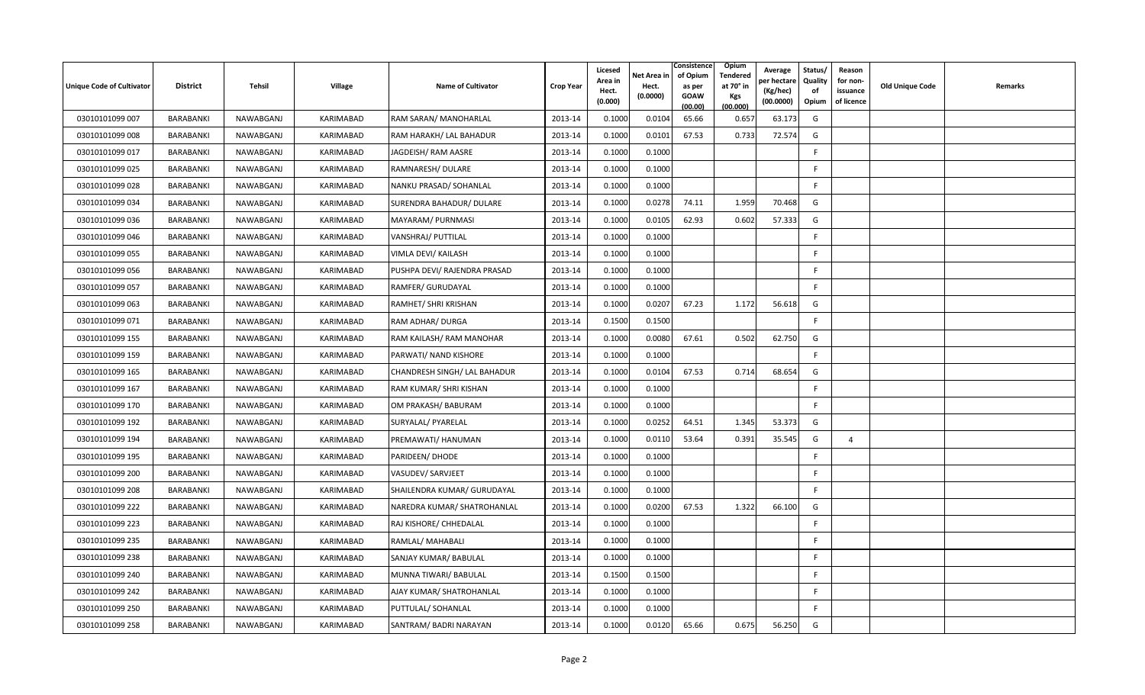| Unique Code of Cultivator | <b>District</b>  | Tehsil    | Village          | <b>Name of Cultivator</b>    | <b>Crop Year</b> | Licesed<br>Area in<br>Hect.<br>(0.000) | Net Area in<br>Hect.<br>(0.0000) | Consistence<br>of Opium<br>as per<br><b>GOAW</b><br>(00.00) | Opium<br>Tendered<br>at 70° in<br>Kgs<br>(00.000) | Average<br>per hectare<br>(Kg/hec)<br>(00.0000) | Status/<br>Quality<br>of<br>Opium | Reason<br>for non-<br>issuance<br>of licence | Old Unique Code | Remarks |
|---------------------------|------------------|-----------|------------------|------------------------------|------------------|----------------------------------------|----------------------------------|-------------------------------------------------------------|---------------------------------------------------|-------------------------------------------------|-----------------------------------|----------------------------------------------|-----------------|---------|
| 03010101099 007           | BARABANKI        | NAWABGANJ | KARIMABAD        | RAM SARAN/ MANOHARLAL        | 2013-14          | 0.1000                                 | 0.0104                           | 65.66                                                       | 0.657                                             | 63.173                                          | G                                 |                                              |                 |         |
| 03010101099 008           | BARABANKI        | NAWABGANJ | KARIMABAD        | RAM HARAKH/ LAL BAHADUR      | 2013-14          | 0.1000                                 | 0.0101                           | 67.53                                                       | 0.733                                             | 72.574                                          | G                                 |                                              |                 |         |
| 03010101099 017           | BARABANKI        | NAWABGANJ | KARIMABAD        | JAGDEISH/ RAM AASRE          | 2013-14          | 0.1000                                 | 0.1000                           |                                                             |                                                   |                                                 | F.                                |                                              |                 |         |
| 03010101099 025           | BARABANKI        | NAWABGANJ | KARIMABAD        | RAMNARESH/ DULARE            | 2013-14          | 0.1000                                 | 0.1000                           |                                                             |                                                   |                                                 | F                                 |                                              |                 |         |
| 03010101099 028           | BARABANKI        | NAWABGANJ | KARIMABAD        | NANKU PRASAD/ SOHANLAL       | 2013-14          | 0.1000                                 | 0.1000                           |                                                             |                                                   |                                                 | F                                 |                                              |                 |         |
| 03010101099 034           | BARABANKI        | NAWABGANJ | KARIMABAD        | SURENDRA BAHADUR/ DULARE     | 2013-14          | 0.1000                                 | 0.0278                           | 74.11                                                       | 1.959                                             | 70.468                                          | G                                 |                                              |                 |         |
| 03010101099 036           | BARABANKI        | NAWABGANJ | KARIMABAD        | MAYARAM/ PURNMASI            | 2013-14          | 0.1000                                 | 0.0105                           | 62.93                                                       | 0.602                                             | 57.333                                          | G                                 |                                              |                 |         |
| 03010101099 046           | BARABANKI        | NAWABGANJ | KARIMABAD        | VANSHRAJ/ PUTTILAL           | 2013-14          | 0.1000                                 | 0.1000                           |                                                             |                                                   |                                                 | F.                                |                                              |                 |         |
| 03010101099 055           | BARABANKI        | NAWABGANJ | KARIMABAD        | VIMLA DEVI/ KAILASH          | 2013-14          | 0.1000                                 | 0.1000                           |                                                             |                                                   |                                                 | F                                 |                                              |                 |         |
| 03010101099 056           | BARABANKI        | NAWABGANJ | KARIMABAD        | PUSHPA DEVI/ RAJENDRA PRASAD | 2013-14          | 0.1000                                 | 0.1000                           |                                                             |                                                   |                                                 | F                                 |                                              |                 |         |
| 03010101099 057           | BARABANKI        | NAWABGANJ | KARIMABAD        | RAMFER/ GURUDAYAL            | 2013-14          | 0.1000                                 | 0.1000                           |                                                             |                                                   |                                                 | F.                                |                                              |                 |         |
| 03010101099 063           | BARABANKI        | NAWABGANJ | KARIMABAD        | RAMHET/ SHRI KRISHAN         | 2013-14          | 0.1000                                 | 0.0207                           | 67.23                                                       | 1.172                                             | 56.618                                          | G                                 |                                              |                 |         |
| 03010101099 071           | BARABANKI        | NAWABGANJ | KARIMABAD        | RAM ADHAR/ DURGA             | 2013-14          | 0.1500                                 | 0.1500                           |                                                             |                                                   |                                                 | F                                 |                                              |                 |         |
| 03010101099 155           | BARABANKI        | NAWABGANJ | KARIMABAD        | RAM KAILASH/ RAM MANOHAR     | 2013-14          | 0.1000                                 | 0.0080                           | 67.61                                                       | 0.502                                             | 62.750                                          | G                                 |                                              |                 |         |
| 03010101099 159           | BARABANKI        | NAWABGANJ | KARIMABAD        | PARWATI/ NAND KISHORE        | 2013-14          | 0.1000                                 | 0.1000                           |                                                             |                                                   |                                                 | F.                                |                                              |                 |         |
| 03010101099 165           | BARABANKI        | NAWABGANJ | KARIMABAD        | CHANDRESH SINGH/ LAL BAHADUR | 2013-14          | 0.1000                                 | 0.0104                           | 67.53                                                       | 0.714                                             | 68.654                                          | G                                 |                                              |                 |         |
| 03010101099 167           | BARABANKI        | NAWABGANJ | KARIMABAD        | RAM KUMAR/ SHRI KISHAN       | 2013-14          | 0.1000                                 | 0.1000                           |                                                             |                                                   |                                                 | F                                 |                                              |                 |         |
| 03010101099 170           | BARABANKI        | NAWABGANJ | KARIMABAD        | OM PRAKASH/ BABURAM          | 2013-14          | 0.1000                                 | 0.1000                           |                                                             |                                                   |                                                 | $\mathsf{F}$                      |                                              |                 |         |
| 03010101099 192           | BARABANKI        | NAWABGANJ | KARIMABAD        | SURYALAL/ PYARELAL           | 2013-14          | 0.1000                                 | 0.0252                           | 64.51                                                       | 1.345                                             | 53.373                                          | G                                 |                                              |                 |         |
| 03010101099 194           | BARABANKI        | NAWABGANJ | <b>KARIMABAD</b> | PREMAWATI/ HANUMAN           | 2013-14          | 0.1000                                 | 0.0110                           | 53.64                                                       | 0.391                                             | 35.545                                          | G                                 | $\overline{4}$                               |                 |         |
| 03010101099 195           | BARABANKI        | NAWABGANJ | KARIMABAD        | PARIDEEN/ DHODE              | 2013-14          | 0.1000                                 | 0.1000                           |                                                             |                                                   |                                                 | F.                                |                                              |                 |         |
| 03010101099 200           | BARABANKI        | NAWABGANJ | KARIMABAD        | VASUDEV/ SARVJEET            | 2013-14          | 0.1000                                 | 0.1000                           |                                                             |                                                   |                                                 | F.                                |                                              |                 |         |
| 03010101099 208           | BARABANKI        | NAWABGANJ | KARIMABAD        | SHAILENDRA KUMAR/ GURUDAYAL  | 2013-14          | 0.1000                                 | 0.1000                           |                                                             |                                                   |                                                 | F                                 |                                              |                 |         |
| 03010101099 222           | BARABANKI        | NAWABGANJ | KARIMABAD        | NAREDRA KUMAR/ SHATROHANLAL  | 2013-14          | 0.1000                                 | 0.0200                           | 67.53                                                       | 1.322                                             | 66.100                                          | G                                 |                                              |                 |         |
| 03010101099 223           | BARABANKI        | NAWABGANJ | KARIMABAD        | RAJ KISHORE/ CHHEDALAL       | 2013-14          | 0.1000                                 | 0.1000                           |                                                             |                                                   |                                                 | F                                 |                                              |                 |         |
| 03010101099 235           | BARABANKI        | NAWABGANJ | KARIMABAD        | RAMLAL/ MAHABALI             | 2013-14          | 0.1000                                 | 0.1000                           |                                                             |                                                   |                                                 | F                                 |                                              |                 |         |
| 03010101099 238           | <b>BARABANKI</b> | NAWABGANJ | KARIMABAD        | SANJAY KUMAR/ BABULAL        | 2013-14          | 0.1000                                 | 0.1000                           |                                                             |                                                   |                                                 | E                                 |                                              |                 |         |
| 03010101099 240           | BARABANKI        | NAWABGANJ | KARIMABAD        | MUNNA TIWARI/ BABULAL        | 2013-14          | 0.1500                                 | 0.1500                           |                                                             |                                                   |                                                 | F                                 |                                              |                 |         |
| 03010101099 242           | BARABANKI        | NAWABGANJ | <b>KARIMABAD</b> | AJAY KUMAR/ SHATROHANLAL     | 2013-14          | 0.1000                                 | 0.1000                           |                                                             |                                                   |                                                 | F                                 |                                              |                 |         |
| 03010101099 250           | BARABANKI        | NAWABGANJ | KARIMABAD        | PUTTULAL/ SOHANLAL           | 2013-14          | 0.1000                                 | 0.1000                           |                                                             |                                                   |                                                 | F                                 |                                              |                 |         |
| 03010101099 258           | BARABANKI        | NAWABGANJ | KARIMABAD        | SANTRAM/BADRI NARAYAN        | 2013-14          | 0.1000                                 | 0.0120                           | 65.66                                                       | 0.675                                             | 56.250                                          | G                                 |                                              |                 |         |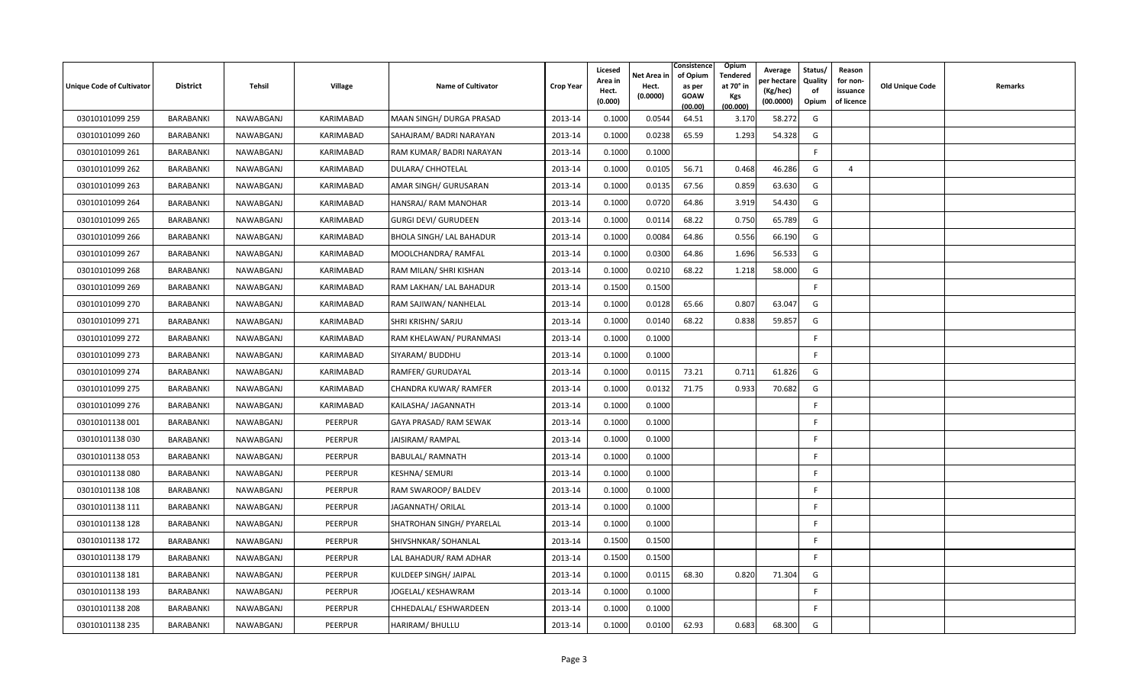| Unique Code of Cultivator | <b>District</b>  | Tehsil    | Village        | <b>Name of Cultivator</b>       | <b>Crop Year</b> | Licesed<br>Area in<br>Hect.<br>(0.000) | Net Area in<br>Hect.<br>(0.0000) | Consistence<br>of Opium<br>as per<br>GOAW<br>(00.00) | Opium<br>Tendered<br>at 70° in<br>Kgs<br>(00.000) | Average<br>per hectare<br>(Kg/hec)<br>(00.0000) | Status/<br>Quality<br>of<br>Opium | Reason<br>for non-<br>issuance<br>of licence | Old Unique Code | Remarks |
|---------------------------|------------------|-----------|----------------|---------------------------------|------------------|----------------------------------------|----------------------------------|------------------------------------------------------|---------------------------------------------------|-------------------------------------------------|-----------------------------------|----------------------------------------------|-----------------|---------|
| 03010101099 259           | BARABANKI        | NAWABGANJ | KARIMABAD      | MAAN SINGH/ DURGA PRASAD        | 2013-14          | 0.1000                                 | 0.0544                           | 64.51                                                | 3.170                                             | 58.272                                          | G                                 |                                              |                 |         |
| 03010101099 260           | BARABANKI        | NAWABGANJ | KARIMABAD      | SAHAJRAM/ BADRI NARAYAN         | 2013-14          | 0.1000                                 | 0.0238                           | 65.59                                                | 1.293                                             | 54.328                                          | G                                 |                                              |                 |         |
| 03010101099 261           | BARABANKI        | NAWABGANJ | KARIMABAD      | RAM KUMAR/ BADRI NARAYAN        | 2013-14          | 0.1000                                 | 0.1000                           |                                                      |                                                   |                                                 | F                                 |                                              |                 |         |
| 03010101099 262           | BARABANKI        | NAWABGANJ | KARIMABAD      | <b>DULARA/ CHHOTELAL</b>        | 2013-14          | 0.1000                                 | 0.0105                           | 56.71                                                | 0.468                                             | 46.286                                          | G                                 | $\overline{4}$                               |                 |         |
| 03010101099 263           | BARABANKI        | NAWABGANJ | KARIMABAD      | AMAR SINGH/ GURUSARAN           | 2013-14          | 0.1000                                 | 0.0135                           | 67.56                                                | 0.859                                             | 63.630                                          | G                                 |                                              |                 |         |
| 03010101099 264           | BARABANKI        | NAWABGANJ | KARIMABAD      | HANSRAJ/RAM MANOHAR             | 2013-14          | 0.1000                                 | 0.0720                           | 64.86                                                | 3.919                                             | 54.430                                          | G                                 |                                              |                 |         |
| 03010101099 265           | BARABANKI        | NAWABGANJ | KARIMABAD      | <b>GURGI DEVI/ GURUDEEN</b>     | 2013-14          | 0.1000                                 | 0.0114                           | 68.22                                                | 0.750                                             | 65.789                                          | G                                 |                                              |                 |         |
| 03010101099 266           | BARABANKI        | NAWABGANJ | KARIMABAD      | <b>BHOLA SINGH/ LAL BAHADUR</b> | 2013-14          | 0.1000                                 | 0.0084                           | 64.86                                                | 0.556                                             | 66.190                                          | G                                 |                                              |                 |         |
| 03010101099 267           | BARABANKI        | NAWABGANJ | KARIMABAD      | MOOLCHANDRA/ RAMFAL             | 2013-14          | 0.1000                                 | 0.0300                           | 64.86                                                | 1.696                                             | 56.533                                          | G                                 |                                              |                 |         |
| 03010101099 268           | <b>BARABANKI</b> | NAWABGANJ | KARIMABAD      | RAM MILAN/ SHRI KISHAN          | 2013-14          | 0.1000                                 | 0.0210                           | 68.22                                                | 1.218                                             | 58.000                                          | G                                 |                                              |                 |         |
| 03010101099 269           | BARABANKI        | NAWABGANJ | KARIMABAD      | RAM LAKHAN/ LAL BAHADUR         | 2013-14          | 0.1500                                 | 0.1500                           |                                                      |                                                   |                                                 | F                                 |                                              |                 |         |
| 03010101099 270           | BARABANKI        | NAWABGANJ | KARIMABAD      | RAM SAJIWAN/ NANHELAL           | 2013-14          | 0.1000                                 | 0.0128                           | 65.66                                                | 0.807                                             | 63.047                                          | G                                 |                                              |                 |         |
| 03010101099 271           | BARABANKI        | NAWABGANJ | KARIMABAD      | SHRI KRISHN/ SARJU              | 2013-14          | 0.1000                                 | 0.0140                           | 68.22                                                | 0.838                                             | 59.857                                          | G                                 |                                              |                 |         |
| 03010101099 272           | BARABANKI        | NAWABGANJ | KARIMABAD      | RAM KHELAWAN/ PURANMASI         | 2013-14          | 0.1000                                 | 0.1000                           |                                                      |                                                   |                                                 | F.                                |                                              |                 |         |
| 03010101099 273           | BARABANKI        | NAWABGANJ | KARIMABAD      | SIYARAM/ BUDDHU                 | 2013-14          | 0.1000                                 | 0.1000                           |                                                      |                                                   |                                                 | F.                                |                                              |                 |         |
| 03010101099 274           | BARABANKI        | NAWABGANJ | KARIMABAD      | RAMFER/ GURUDAYAL               | 2013-14          | 0.1000                                 | 0.0115                           | 73.21                                                | 0.711                                             | 61.826                                          | G                                 |                                              |                 |         |
| 03010101099 275           | BARABANKI        | NAWABGANJ | KARIMABAD      | CHANDRA KUWAR/ RAMFER           | 2013-14          | 0.1000                                 | 0.0132                           | 71.75                                                | 0.933                                             | 70.682                                          | G                                 |                                              |                 |         |
| 03010101099 276           | BARABANKI        | NAWABGANJ | KARIMABAD      | KAILASHA/ JAGANNATH             | 2013-14          | 0.1000                                 | 0.1000                           |                                                      |                                                   |                                                 | F                                 |                                              |                 |         |
| 03010101138 001           | BARABANKI        | NAWABGANJ | PEERPUR        | GAYA PRASAD/ RAM SEWAK          | 2013-14          | 0.1000                                 | 0.1000                           |                                                      |                                                   |                                                 | F                                 |                                              |                 |         |
| 03010101138 030           | BARABANKI        | NAWABGANJ | PEERPUR        | JAISIRAM/RAMPAL                 | 2013-14          | 0.1000                                 | 0.1000                           |                                                      |                                                   |                                                 | F                                 |                                              |                 |         |
| 03010101138053            | BARABANKI        | NAWABGANJ | <b>PEERPUR</b> | <b>BABULAL/ RAMNATH</b>         | 2013-14          | 0.1000                                 | 0.1000                           |                                                      |                                                   |                                                 | F                                 |                                              |                 |         |
| 03010101138080            | BARABANKI        | NAWABGANJ | PEERPUR        | KESHNA/ SEMURI                  | 2013-14          | 0.1000                                 | 0.1000                           |                                                      |                                                   |                                                 | F.                                |                                              |                 |         |
| 03010101138 108           | BARABANKI        | NAWABGANJ | <b>PEERPUR</b> | RAM SWAROOP/ BALDEV             | 2013-14          | 0.1000                                 | 0.1000                           |                                                      |                                                   |                                                 | F                                 |                                              |                 |         |
| 03010101138 111           | BARABANKI        | NAWABGANJ | PEERPUR        | JAGANNATH/ ORILAL               | 2013-14          | 0.1000                                 | 0.1000                           |                                                      |                                                   |                                                 | F                                 |                                              |                 |         |
| 03010101138 128           | BARABANKI        | NAWABGANJ | PEERPUR        | SHATROHAN SINGH/ PYARELAL       | 2013-14          | 0.1000                                 | 0.1000                           |                                                      |                                                   |                                                 | F.                                |                                              |                 |         |
| 03010101138 172           | BARABANKI        | NAWABGANJ | PEERPUR        | SHIVSHNKAR/ SOHANLAL            | 2013-14          | 0.1500                                 | 0.1500                           |                                                      |                                                   |                                                 | F                                 |                                              |                 |         |
| 03010101138 179           | BARABANKI        | NAWABGANJ | PEERPUR        | LAL BAHADUR/ RAM ADHAR          | 2013-14          | 0.1500                                 | 0.1500                           |                                                      |                                                   |                                                 | F                                 |                                              |                 |         |
| 03010101138 181           | BARABANKI        | NAWABGANJ | <b>PEERPUR</b> | KULDEEP SINGH/ JAIPAL           | 2013-14          | 0.1000                                 | 0.0115                           | 68.30                                                | 0.820                                             | 71.304                                          | G                                 |                                              |                 |         |
| 03010101138 193           | BARABANKI        | NAWABGANJ | <b>PEERPUR</b> | JOGELAL/ KESHAWRAM              | 2013-14          | 0.1000                                 | 0.1000                           |                                                      |                                                   |                                                 | F                                 |                                              |                 |         |
| 03010101138 208           | <b>BARABANKI</b> | NAWABGANJ | PEERPUR        | CHHEDALAL/ ESHWARDEEN           | 2013-14          | 0.1000                                 | 0.1000                           |                                                      |                                                   |                                                 | F                                 |                                              |                 |         |
| 03010101138 235           | BARABANKI        | NAWABGANJ | PEERPUR        | HARIRAM/ BHULLU                 | 2013-14          | 0.1000                                 | 0.0100                           | 62.93                                                | 0.683                                             | 68.300                                          | G                                 |                                              |                 |         |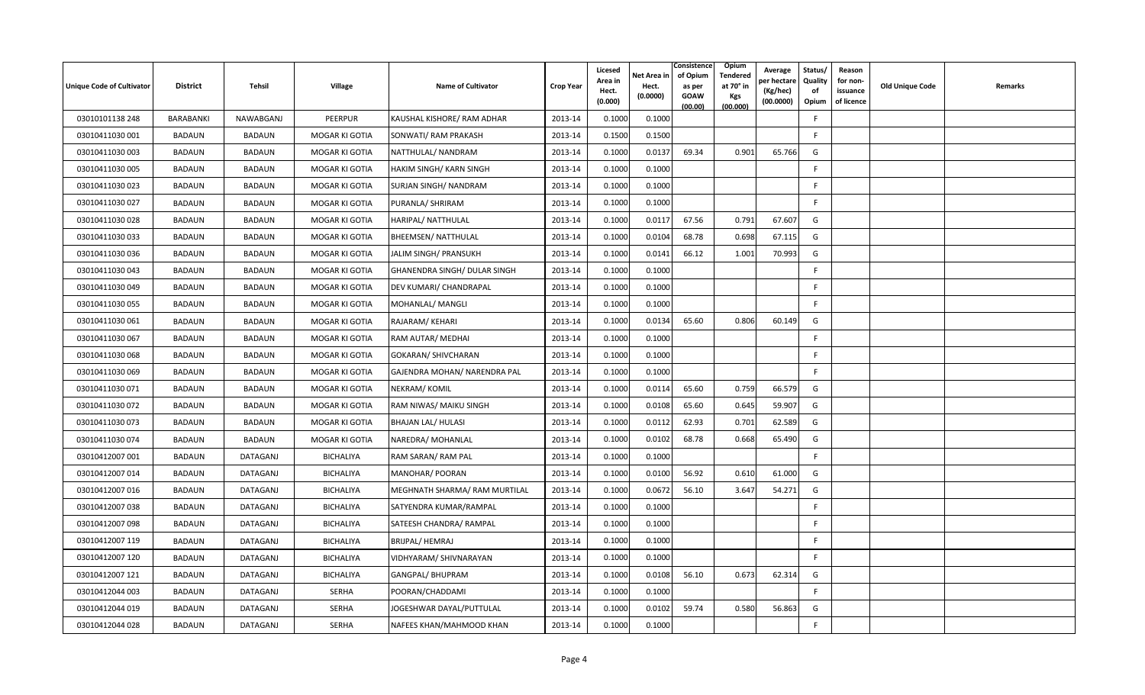| Unique Code of Cultivator | <b>District</b>  | Tehsil          | Village          | <b>Name of Cultivator</b>     | <b>Crop Year</b> | Licesed<br>Area in<br>Hect.<br>(0.000) | Net Area in<br>Hect.<br>(0.0000) | Consistence<br>of Opium<br>as per<br>GOAW<br>(00.00) | Opium<br>Tendered<br>at 70° in<br>Kgs<br>(00.000) | Average<br>oer hectare<br>(Kg/hec)<br>(00.0000) | Status/<br>Quality<br>of<br>Opium | Reason<br>for non-<br>issuance<br>of licence | Old Unique Code | Remarks |
|---------------------------|------------------|-----------------|------------------|-------------------------------|------------------|----------------------------------------|----------------------------------|------------------------------------------------------|---------------------------------------------------|-------------------------------------------------|-----------------------------------|----------------------------------------------|-----------------|---------|
| 03010101138 248           | <b>BARABANKI</b> | NAWABGANJ       | PEERPUR          | KAUSHAL KISHORE/ RAM ADHAR    | 2013-14          | 0.1000                                 | 0.1000                           |                                                      |                                                   |                                                 | F                                 |                                              |                 |         |
| 03010411030 001           | <b>BADAUN</b>    | <b>BADAUN</b>   | MOGAR KI GOTIA   | SONWATI/ RAM PRAKASH          | 2013-14          | 0.1500                                 | 0.1500                           |                                                      |                                                   |                                                 | F                                 |                                              |                 |         |
| 03010411030 003           | <b>BADAUN</b>    | <b>BADAUN</b>   | MOGAR KI GOTIA   | NATTHULAL/ NANDRAM            | 2013-14          | 0.1000                                 | 0.0137                           | 69.34                                                | 0.901                                             | 65.766                                          | G                                 |                                              |                 |         |
| 03010411030 005           | <b>BADAUN</b>    | <b>BADAUN</b>   | MOGAR KI GOTIA   | HAKIM SINGH/KARN SINGH        | 2013-14          | 0.1000                                 | 0.1000                           |                                                      |                                                   |                                                 | F.                                |                                              |                 |         |
| 03010411030 023           | BADAUN           | <b>BADAUN</b>   | MOGAR KI GOTIA   | SURJAN SINGH/ NANDRAM         | 2013-14          | 0.1000                                 | 0.1000                           |                                                      |                                                   |                                                 | F.                                |                                              |                 |         |
| 03010411030 027           | BADAUN           | <b>BADAUN</b>   | MOGAR KI GOTIA   | PURANLA/ SHRIRAM              | 2013-14          | 0.1000                                 | 0.1000                           |                                                      |                                                   |                                                 | F                                 |                                              |                 |         |
| 03010411030 028           | BADAUN           | <b>BADAUN</b>   | MOGAR KI GOTIA   | HARIPAL/ NATTHULAL            | 2013-14          | 0.1000                                 | 0.0117                           | 67.56                                                | 0.791                                             | 67.607                                          | G                                 |                                              |                 |         |
| 03010411030 033           | <b>BADAUN</b>    | <b>BADAUN</b>   | MOGAR KI GOTIA   | <b>BHEEMSEN/ NATTHULAL</b>    | 2013-14          | 0.1000                                 | 0.0104                           | 68.78                                                | 0.698                                             | 67.115                                          | G                                 |                                              |                 |         |
| 03010411030 036           | <b>BADAUN</b>    | <b>BADAUN</b>   | MOGAR KI GOTIA   | JALIM SINGH/ PRANSUKH         | 2013-14          | 0.1000                                 | 0.0141                           | 66.12                                                | 1.001                                             | 70.993                                          | G                                 |                                              |                 |         |
| 03010411030 043           | <b>BADAUN</b>    | <b>BADAUN</b>   | MOGAR KI GOTIA   | GHANENDRA SINGH/ DULAR SINGH  | 2013-14          | 0.1000                                 | 0.1000                           |                                                      |                                                   |                                                 | F.                                |                                              |                 |         |
| 03010411030049            | BADAUN           | <b>BADAUN</b>   | MOGAR KI GOTIA   | DEV KUMARI/ CHANDRAPAL        | 2013-14          | 0.1000                                 | 0.1000                           |                                                      |                                                   |                                                 | F                                 |                                              |                 |         |
| 03010411030 055           | <b>BADAUN</b>    | <b>BADAUN</b>   | MOGAR KI GOTIA   | MOHANLAL/ MANGLI              | 2013-14          | 0.1000                                 | 0.1000                           |                                                      |                                                   |                                                 | $\mathsf{F}$                      |                                              |                 |         |
| 03010411030 061           | <b>BADAUN</b>    | <b>BADAUN</b>   | MOGAR KI GOTIA   | RAJARAM/KEHARI                | 2013-14          | 0.1000                                 | 0.0134                           | 65.60                                                | 0.806                                             | 60.149                                          | G                                 |                                              |                 |         |
| 03010411030 067           | <b>BADAUN</b>    | <b>BADAUN</b>   | MOGAR KI GOTIA   | RAM AUTAR/ MEDHAI             | 2013-14          | 0.1000                                 | 0.1000                           |                                                      |                                                   |                                                 | F.                                |                                              |                 |         |
| 03010411030 068           | BADAUN           | <b>BADAUN</b>   | MOGAR KI GOTIA   | <b>GOKARAN/ SHIVCHARAN</b>    | 2013-14          | 0.1000                                 | 0.1000                           |                                                      |                                                   |                                                 | F.                                |                                              |                 |         |
| 03010411030 069           | <b>BADAUN</b>    | <b>BADAUN</b>   | MOGAR KI GOTIA   | GAJENDRA MOHAN/ NARENDRA PAL  | 2013-14          | 0.1000                                 | 0.1000                           |                                                      |                                                   |                                                 | F                                 |                                              |                 |         |
| 03010411030 071           | BADAUN           | <b>BADAUN</b>   | MOGAR KI GOTIA   | NEKRAM/KOMIL                  | 2013-14          | 0.1000                                 | 0.0114                           | 65.60                                                | 0.759                                             | 66.579                                          | G                                 |                                              |                 |         |
| 03010411030 072           | <b>BADAUN</b>    | <b>BADAUN</b>   | MOGAR KI GOTIA   | RAM NIWAS/ MAIKU SINGH        | 2013-14          | 0.1000                                 | 0.0108                           | 65.60                                                | 0.645                                             | 59.907                                          | G                                 |                                              |                 |         |
| 03010411030 073           | BADAUN           | <b>BADAUN</b>   | MOGAR KI GOTIA   | <b>BHAJAN LAL/ HULASI</b>     | 2013-14          | 0.1000                                 | 0.0112                           | 62.93                                                | 0.701                                             | 62.589                                          | G                                 |                                              |                 |         |
| 03010411030 074           | <b>BADAUN</b>    | <b>BADAUN</b>   | MOGAR KI GOTIA   | NAREDRA/ MOHANLAL             | 2013-14          | 0.1000                                 | 0.0102                           | 68.78                                                | 0.668                                             | 65.490                                          | G                                 |                                              |                 |         |
| 03010412007 001           | BADAUN           | DATAGANJ        | <b>BICHALIYA</b> | RAM SARAN/ RAM PAL            | 2013-14          | 0.1000                                 | 0.1000                           |                                                      |                                                   |                                                 | F                                 |                                              |                 |         |
| 03010412007014            | BADAUN           | DATAGANJ        | BICHALIYA        | MANOHAR/ POORAN               | 2013-14          | 0.1000                                 | 0.0100                           | 56.92                                                | 0.610                                             | 61.000                                          | G                                 |                                              |                 |         |
| 03010412007 016           | <b>BADAUN</b>    | <b>DATAGANJ</b> | <b>BICHALIYA</b> | MEGHNATH SHARMA/ RAM MURTILAL | 2013-14          | 0.1000                                 | 0.0672                           | 56.10                                                | 3.647                                             | 54.271                                          | G                                 |                                              |                 |         |
| 03010412007 038           | BADAUN           | DATAGANJ        | BICHALIYA        | SATYENDRA KUMAR/RAMPAL        | 2013-14          | 0.1000                                 | 0.1000                           |                                                      |                                                   |                                                 | F                                 |                                              |                 |         |
| 03010412007 098           | BADAUN           | DATAGANJ        | <b>BICHALIYA</b> | SATEESH CHANDRA/ RAMPAL       | 2013-14          | 0.1000                                 | 0.1000                           |                                                      |                                                   |                                                 | F                                 |                                              |                 |         |
| 03010412007 119           | <b>BADAUN</b>    | DATAGANJ        | BICHALIYA        | <b>BRIJPAL/ HEMRAJ</b>        | 2013-14          | 0.1000                                 | 0.1000                           |                                                      |                                                   |                                                 | F                                 |                                              |                 |         |
| 03010412007 120           | BADAUN           | DATAGANJ        | BICHALIYA        | VIDHYARAM/ SHIVNARAYAN        | 2013-14          | 0.1000                                 | 0.1000                           |                                                      |                                                   |                                                 | F                                 |                                              |                 |         |
| 03010412007 121           | BADAUN           | DATAGANJ        | <b>BICHALIYA</b> | <b>GANGPAL/ BHUPRAM</b>       | 2013-14          | 0.1000                                 | 0.0108                           | 56.10                                                | 0.673                                             | 62.314                                          | G                                 |                                              |                 |         |
| 03010412044 003           | BADAUN           | <b>DATAGANJ</b> | <b>SERHA</b>     | POORAN/CHADDAMI               | 2013-14          | 0.1000                                 | 0.1000                           |                                                      |                                                   |                                                 | F                                 |                                              |                 |         |
| 03010412044 019           | <b>BADAUN</b>    | DATAGANJ        | SERHA            | JOGESHWAR DAYAL/PUTTULAL      | 2013-14          | 0.1000                                 | 0.0102                           | 59.74                                                | 0.580                                             | 56.863                                          | G                                 |                                              |                 |         |
| 03010412044 028           | BADAUN           | <b>DATAGANJ</b> | <b>SERHA</b>     | NAFEES KHAN/MAHMOOD KHAN      | 2013-14          | 0.1000                                 | 0.1000                           |                                                      |                                                   |                                                 | F                                 |                                              |                 |         |